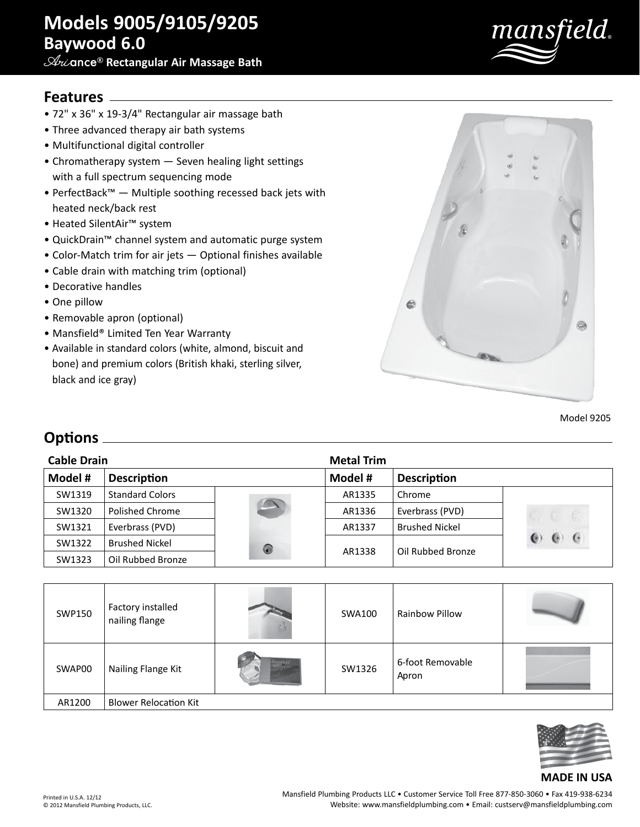**Ari**ance® **Rectangular Air Massage Bath**



## **Features**

- 72" x 36" x 19-3/4" Rectangular air massage bath
- Three advanced therapy air bath systems
- Multifunctional digital controller
- Chromatherapy system Seven healing light settings with a full spectrum sequencing mode
- PerfectBack™ Multiple soothing recessed back jets with heated neck/back rest
- Heated SilentAir™ system
- QuickDrain™ channel system and automatic purge system
- Color-Match trim for air jets Optional finishes available
- Cable drain with matching trim (optional)
- Decorative handles
- One pillow
- Removable apron (optional)
- Mansfield® Limited Ten Year Warranty
- Available in standard colors (white, almond, biscuit and bone) and premium colors (British khaki, sterling silver, black and ice gray)



Model 9205

## **Options**

| <b>Cable Drain</b> |                        |   | <b>Metal Trim</b>             |                       |                  |
|--------------------|------------------------|---|-------------------------------|-----------------------|------------------|
| Model #            | <b>Description</b>     |   | Model #<br><b>Description</b> |                       |                  |
| SW1319             | <b>Standard Colors</b> |   | AR1335                        | Chrome                |                  |
| SW1320             | Polished Chrome        |   | AR1336                        | Everbrass (PVD)       |                  |
| SW1321             | Everbrass (PVD)        |   | AR1337                        | <b>Brushed Nickel</b> |                  |
| SW1322             | <b>Brushed Nickel</b>  | 0 | AR1338                        | Oil Rubbed Bronze     | $\epsilon$<br>G. |
| SW1323             | Oil Rubbed Bronze      |   |                               |                       |                  |

| SWP150 | Factory installed<br>nailing flange | <b>SWA100</b> | <b>Rainbow Pillow</b>     |  |
|--------|-------------------------------------|---------------|---------------------------|--|
| SWAP00 | Nailing Flange Kit                  | SW1326        | 6-foot Removable<br>Apron |  |
| AR1200 | <b>Blower Relocation Kit</b>        |               |                           |  |



## **MADE IN USA**